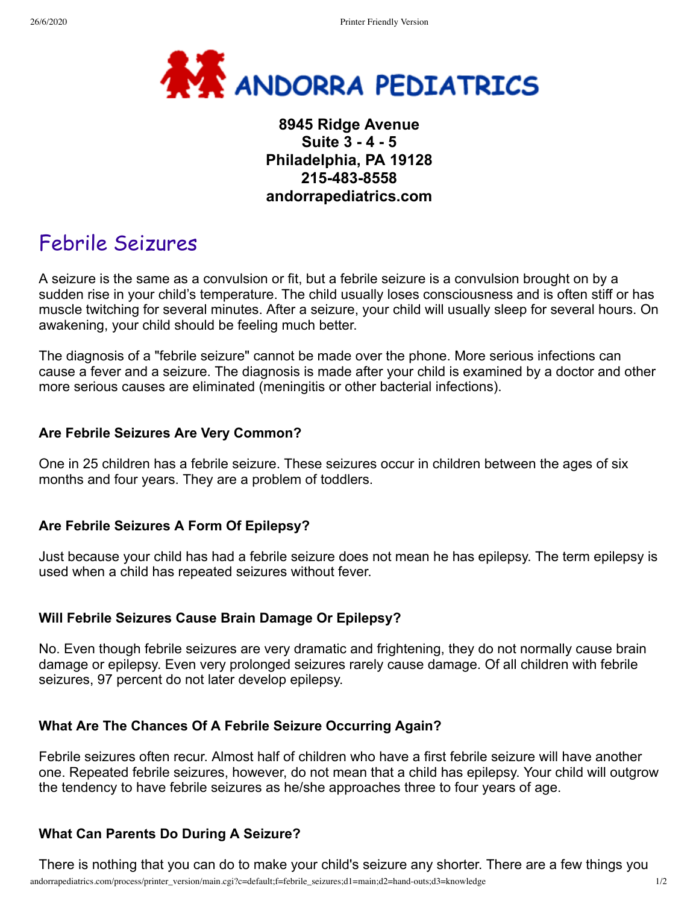

# **8945 Ridge Avenue Suite 3 - 4 - 5 Philadelphia, PA 19128 215-483-8558 andorrapediatrics.com**

# Febrile Seizures

A seizure is the same as a convulsion or fit, but a febrile seizure is a convulsion brought on by a sudden rise in your child's temperature. The child usually loses consciousness and is often stiff or has muscle twitching for several minutes. After a seizure, your child will usually sleep for several hours. On awakening, your child should be feeling much better.

The diagnosis of a "febrile seizure" cannot be made over the phone. More serious infections can cause a fever and a seizure. The diagnosis is made after your child is examined by a doctor and other more serious causes are eliminated (meningitis or other bacterial infections).

#### **Are Febrile Seizures Are Very Common?**

One in 25 children has a febrile seizure. These seizures occur in children between the ages of six months and four years. They are a problem of toddlers.

#### **Are Febrile Seizures A Form Of Epilepsy?**

Just because your child has had a febrile seizure does not mean he has epilepsy. The term epilepsy is used when a child has repeated seizures without fever.

#### **Will Febrile Seizures Cause Brain Damage Or Epilepsy?**

No. Even though febrile seizures are very dramatic and frightening, they do not normally cause brain damage or epilepsy. Even very prolonged seizures rarely cause damage. Of all children with febrile seizures, 97 percent do not later develop epilepsy.

#### **What Are The Chances Of A Febrile Seizure Occurring Again?**

Febrile seizures often recur. Almost half of children who have a first febrile seizure will have another one. Repeated febrile seizures, however, do not mean that a child has epilepsy. Your child will outgrow the tendency to have febrile seizures as he/she approaches three to four years of age.

#### **What Can Parents Do During A Seizure?**

There is nothing that you can do to make your child's seizure any shorter. There are a few things you